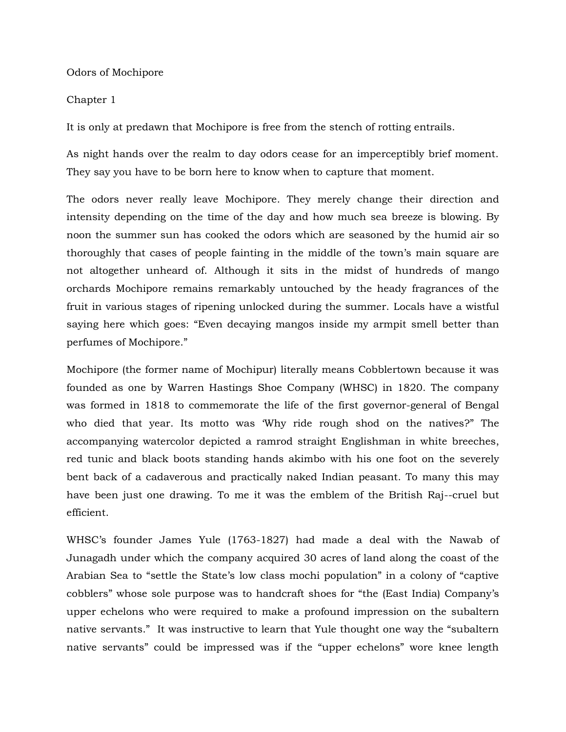Odors of Mochipore

## Chapter 1

It is only at predawn that Mochipore is free from the stench of rotting entrails.

As night hands over the realm to day odors cease for an imperceptibly brief moment. They say you have to be born here to know when to capture that moment.

The odors never really leave Mochipore. They merely change their direction and intensity depending on the time of the day and how much sea breeze is blowing. By noon the summer sun has cooked the odors which are seasoned by the humid air so thoroughly that cases of people fainting in the middle of the town's main square are not altogether unheard of. Although it sits in the midst of hundreds of mango orchards Mochipore remains remarkably untouched by the heady fragrances of the fruit in various stages of ripening unlocked during the summer. Locals have a wistful saying here which goes: "Even decaying mangos inside my armpit smell better than perfumes of Mochipore."

Mochipore (the former name of Mochipur) literally means Cobblertown because it was founded as one by Warren Hastings Shoe Company (WHSC) in 1820. The company was formed in 1818 to commemorate the life of the first governor-general of Bengal who died that year. Its motto was 'Why ride rough shod on the natives?" The accompanying watercolor depicted a ramrod straight Englishman in white breeches, red tunic and black boots standing hands akimbo with his one foot on the severely bent back of a cadaverous and practically naked Indian peasant. To many this may have been just one drawing. To me it was the emblem of the British Raj--cruel but efficient.

WHSC's founder James Yule (1763-1827) had made a deal with the Nawab of Junagadh under which the company acquired 30 acres of land along the coast of the Arabian Sea to "settle the State's low class mochi population" in a colony of "captive cobblers" whose sole purpose was to handcraft shoes for "the (East India) Company's upper echelons who were required to make a profound impression on the subaltern native servants." It was instructive to learn that Yule thought one way the "subaltern native servants" could be impressed was if the "upper echelons" wore knee length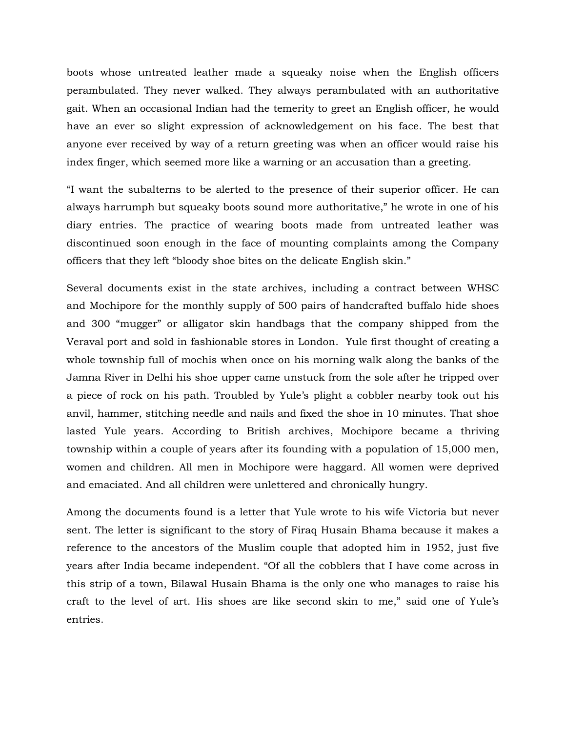boots whose untreated leather made a squeaky noise when the English officers perambulated. They never walked. They always perambulated with an authoritative gait. When an occasional Indian had the temerity to greet an English officer, he would have an ever so slight expression of acknowledgement on his face. The best that anyone ever received by way of a return greeting was when an officer would raise his index finger, which seemed more like a warning or an accusation than a greeting.

"I want the subalterns to be alerted to the presence of their superior officer. He can always harrumph but squeaky boots sound more authoritative," he wrote in one of his diary entries. The practice of wearing boots made from untreated leather was discontinued soon enough in the face of mounting complaints among the Company officers that they left "bloody shoe bites on the delicate English skin."

Several documents exist in the state archives, including a contract between WHSC and Mochipore for the monthly supply of 500 pairs of handcrafted buffalo hide shoes and 300 "mugger" or alligator skin handbags that the company shipped from the Veraval port and sold in fashionable stores in London. Yule first thought of creating a whole township full of mochis when once on his morning walk along the banks of the Jamna River in Delhi his shoe upper came unstuck from the sole after he tripped over a piece of rock on his path. Troubled by Yule's plight a cobbler nearby took out his anvil, hammer, stitching needle and nails and fixed the shoe in 10 minutes. That shoe lasted Yule years. According to British archives, Mochipore became a thriving township within a couple of years after its founding with a population of 15,000 men, women and children. All men in Mochipore were haggard. All women were deprived and emaciated. And all children were unlettered and chronically hungry.

Among the documents found is a letter that Yule wrote to his wife Victoria but never sent. The letter is significant to the story of Firaq Husain Bhama because it makes a reference to the ancestors of the Muslim couple that adopted him in 1952, just five years after India became independent. "Of all the cobblers that I have come across in this strip of a town, Bilawal Husain Bhama is the only one who manages to raise his craft to the level of art. His shoes are like second skin to me," said one of Yule's entries.